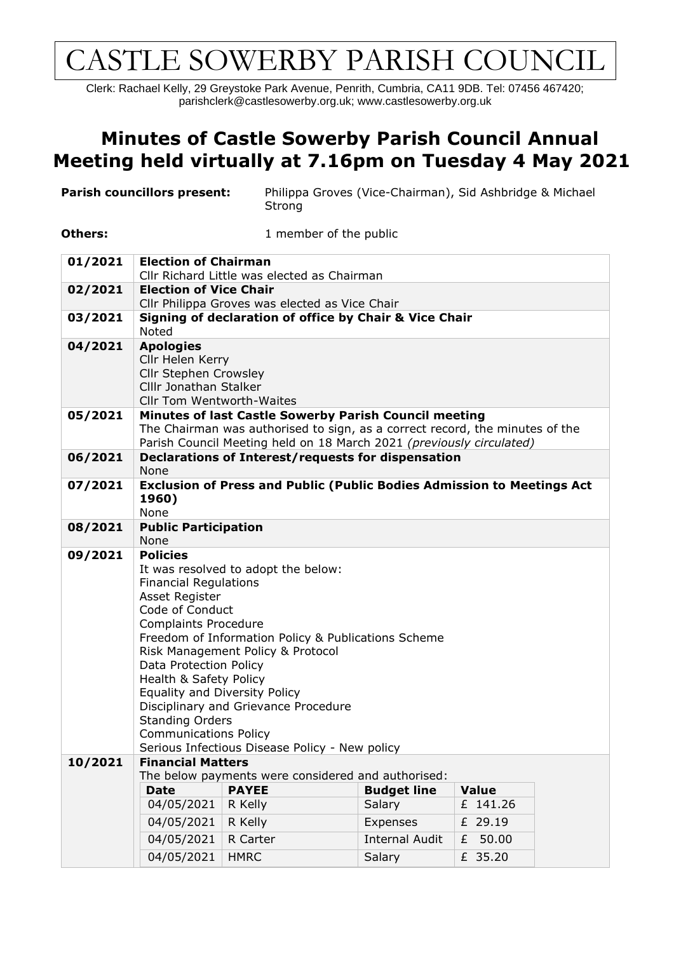# CASTLE SOWERBY PARISH COUNCIL

Clerk: Rachael Kelly, 29 Greystoke Park Avenue, Penrith, Cumbria, CA11 9DB. Tel: 07456 467420; parishclerk@castlesowerby.org.uk; [www.castlesowerby.org.uk](http://www.castlesowerby.org.uk/)

#### **Minutes of Castle Sowerby Parish Council Annual Meeting held virtually at 7.16pm on Tuesday 4 May 2021**

| <b>Parish councillors present:</b> |                                                                                                                                                                                                                                                                                                                                                                                                                                                                                                 | Strong       | Philippa Groves (Vice-Chairman), Sid Ashbridge & Michael |              |  |  |
|------------------------------------|-------------------------------------------------------------------------------------------------------------------------------------------------------------------------------------------------------------------------------------------------------------------------------------------------------------------------------------------------------------------------------------------------------------------------------------------------------------------------------------------------|--------------|----------------------------------------------------------|--------------|--|--|
| <b>Others:</b>                     |                                                                                                                                                                                                                                                                                                                                                                                                                                                                                                 |              | 1 member of the public                                   |              |  |  |
| 01/2021                            | <b>Election of Chairman</b>                                                                                                                                                                                                                                                                                                                                                                                                                                                                     |              |                                                          |              |  |  |
| 02/2021                            | Cllr Richard Little was elected as Chairman<br><b>Election of Vice Chair</b>                                                                                                                                                                                                                                                                                                                                                                                                                    |              |                                                          |              |  |  |
|                                    | Cllr Philippa Groves was elected as Vice Chair                                                                                                                                                                                                                                                                                                                                                                                                                                                  |              |                                                          |              |  |  |
| 03/2021                            | Signing of declaration of office by Chair & Vice Chair<br><b>Noted</b>                                                                                                                                                                                                                                                                                                                                                                                                                          |              |                                                          |              |  |  |
| 04/2021                            | <b>Apologies</b><br>Cllr Helen Kerry<br>Cllr Stephen Crowsley<br>CIIIr Jonathan Stalker<br>Cllr Tom Wentworth-Waites                                                                                                                                                                                                                                                                                                                                                                            |              |                                                          |              |  |  |
| 05/2021                            | Minutes of last Castle Sowerby Parish Council meeting<br>The Chairman was authorised to sign, as a correct record, the minutes of the<br>Parish Council Meeting held on 18 March 2021 (previously circulated)                                                                                                                                                                                                                                                                                   |              |                                                          |              |  |  |
| 06/2021                            | Declarations of Interest/requests for dispensation<br><b>None</b>                                                                                                                                                                                                                                                                                                                                                                                                                               |              |                                                          |              |  |  |
| 07/2021                            | <b>Exclusion of Press and Public (Public Bodies Admission to Meetings Act</b><br>1960)<br>None                                                                                                                                                                                                                                                                                                                                                                                                  |              |                                                          |              |  |  |
| 08/2021                            | <b>Public Participation</b>                                                                                                                                                                                                                                                                                                                                                                                                                                                                     |              |                                                          |              |  |  |
|                                    | None                                                                                                                                                                                                                                                                                                                                                                                                                                                                                            |              |                                                          |              |  |  |
| 09/2021                            | <b>Policies</b><br>It was resolved to adopt the below:<br><b>Financial Regulations</b><br>Asset Register<br>Code of Conduct<br><b>Complaints Procedure</b><br>Freedom of Information Policy & Publications Scheme<br>Risk Management Policy & Protocol<br>Data Protection Policy<br>Health & Safety Policy<br>Equality and Diversity Policy<br>Disciplinary and Grievance Procedure<br><b>Standing Orders</b><br><b>Communications Policy</b><br>Serious Infectious Disease Policy - New policy |              |                                                          |              |  |  |
| 10/2021                            | <b>Financial Matters</b>                                                                                                                                                                                                                                                                                                                                                                                                                                                                        |              |                                                          |              |  |  |
|                                    | The below payments were considered and authorised:                                                                                                                                                                                                                                                                                                                                                                                                                                              |              |                                                          |              |  |  |
|                                    | <b>Date</b>                                                                                                                                                                                                                                                                                                                                                                                                                                                                                     | <b>PAYEE</b> | <b>Budget line</b>                                       | <b>Value</b> |  |  |
|                                    | 04/05/2021                                                                                                                                                                                                                                                                                                                                                                                                                                                                                      | R Kelly      | Salary                                                   | £ 141.26     |  |  |
|                                    | 04/05/2021                                                                                                                                                                                                                                                                                                                                                                                                                                                                                      | R Kelly      | Expenses                                                 | £ 29.19      |  |  |
|                                    | 04/05/2021                                                                                                                                                                                                                                                                                                                                                                                                                                                                                      | R Carter     | <b>Internal Audit</b>                                    | 50.00<br>£   |  |  |
|                                    | 04/05/2021                                                                                                                                                                                                                                                                                                                                                                                                                                                                                      | <b>HMRC</b>  | Salary                                                   | £ 35.20      |  |  |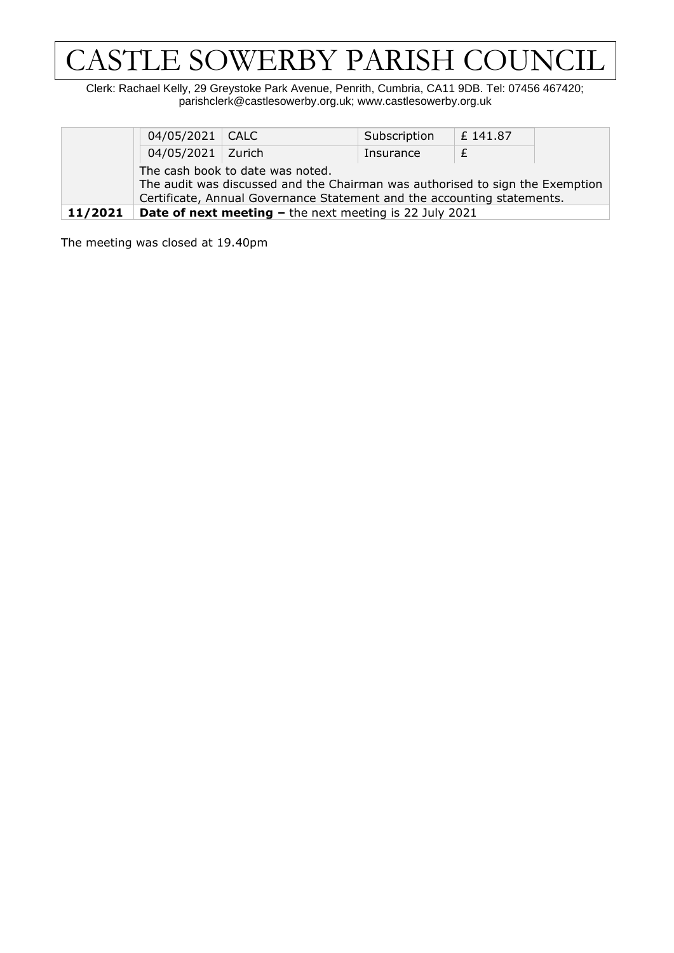# CASTLE SOWERBY PARISH COUNCIL

Clerk: Rachael Kelly, 29 Greystoke Park Avenue, Penrith, Cumbria, CA11 9DB. Tel: 07456 467420; parishclerk@castlesowerby.org.uk; [www.castlesowerby.org.uk](http://www.castlesowerby.org.uk/)

|         | 04/05/2021   CALC                                                                                                 |                                                                | Subscription | £ 141.87 |  |  |
|---------|-------------------------------------------------------------------------------------------------------------------|----------------------------------------------------------------|--------------|----------|--|--|
|         | 04/05/2021   Zurich                                                                                               |                                                                | Insurance    |          |  |  |
|         | The cash book to date was noted.<br>The audit was discussed and the Chairman was authorised to sign the Exemption |                                                                |              |          |  |  |
|         | Certificate, Annual Governance Statement and the accounting statements.                                           |                                                                |              |          |  |  |
| 11/2021 |                                                                                                                   | <b>Date of next meeting - the next meeting is 22 July 2021</b> |              |          |  |  |

The meeting was closed at 19.40pm